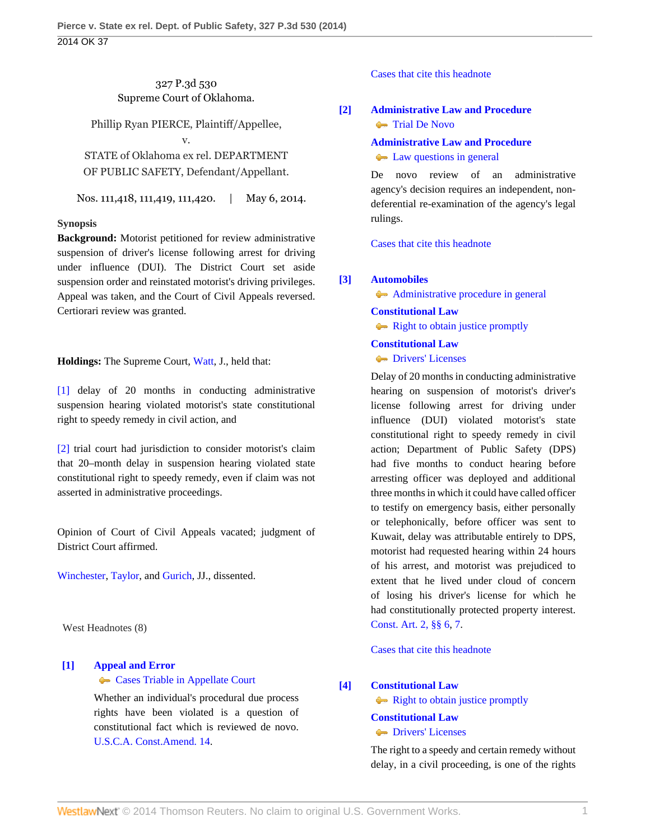# 327 P.3d 530 Supreme Court of Oklahoma.

Phillip Ryan PIERCE, Plaintiff/Appellee,

v.

STATE of Oklahoma ex rel. DEPARTMENT OF PUBLIC SAFETY, Defendant/Appellant.

Nos. 111,418, 111,419, 111,420. | May 6, 2014.

## **Synopsis**

**Background:** Motorist petitioned for review administrative suspension of driver's license following arrest for driving under influence (DUI). The District Court set aside suspension order and reinstated motorist's driving privileges. Appeal was taken, and the Court of Civil Appeals reversed. Certiorari review was granted.

**Holdings:** The Supreme Court, [Watt,](http://www.westlaw.com/Link/Document/FullText?findType=h&pubNum=176284&cite=0176177301&originatingDoc=Ia4a8df28d5ee11e39488c8f438320c70&refType=RQ&originationContext=document&vr=3.0&rs=cblt1.0&transitionType=DocumentItem&contextData=(sc.Search)) J., held that:

[\[1\]](#page-0-0) delay of 20 months in conducting administrative suspension hearing violated motorist's state constitutional right to speedy remedy in civil action, and

[\[2\]](#page-1-0) trial court had jurisdiction to consider motorist's claim that 20–month delay in suspension hearing violated state constitutional right to speedy remedy, even if claim was not asserted in administrative proceedings.

Opinion of Court of Civil Appeals vacated; judgment of District Court affirmed.

[Winchester,](http://www.westlaw.com/Link/Document/FullText?findType=h&pubNum=176284&cite=0126784101&originatingDoc=Ia4a8df28d5ee11e39488c8f438320c70&refType=RQ&originationContext=document&vr=3.0&rs=cblt1.0&transitionType=DocumentItem&contextData=(sc.Search)) [Taylor](http://www.westlaw.com/Link/Document/FullText?findType=h&pubNum=176284&cite=0169500901&originatingDoc=Ia4a8df28d5ee11e39488c8f438320c70&refType=RQ&originationContext=document&vr=3.0&rs=cblt1.0&transitionType=DocumentItem&contextData=(sc.Search)), and [Gurich,](http://www.westlaw.com/Link/Document/FullText?findType=h&pubNum=176284&cite=0180213701&originatingDoc=Ia4a8df28d5ee11e39488c8f438320c70&refType=RQ&originationContext=document&vr=3.0&rs=cblt1.0&transitionType=DocumentItem&contextData=(sc.Search)) JJ., dissented.

West Headnotes (8)

# <span id="page-0-1"></span>**[\[1\]](#page-2-0) [Appeal and Error](http://www.westlaw.com/Browse/Home/KeyNumber/30/View.html?docGuid=Ia4a8df28d5ee11e39488c8f438320c70&originationContext=document&vr=3.0&rs=cblt1.0&transitionType=DocumentItem&contextData=(sc.Search))**

**[Cases Triable in Appellate Court](http://www.westlaw.com/Browse/Home/KeyNumber/30k893/View.html?docGuid=Ia4a8df28d5ee11e39488c8f438320c70&originationContext=document&vr=3.0&rs=cblt1.0&transitionType=DocumentItem&contextData=(sc.Search))** 

Whether an individual's procedural due process rights have been violated is a question of constitutional fact which is reviewed de novo. [U.S.C.A. Const.Amend. 14.](http://www.westlaw.com/Link/Document/FullText?findType=L&pubNum=1000546&cite=USCOAMENDXIV&originatingDoc=Ia4a8df28d5ee11e39488c8f438320c70&refType=LQ&originationContext=document&vr=3.0&rs=cblt1.0&transitionType=DocumentItem&contextData=(sc.Search))

### [Cases that cite this headnote](http://www.westlaw.com/Link/RelatedInformation/DocHeadnoteLink?docGuid=Ia4a8df28d5ee11e39488c8f438320c70&headnoteId=203333421000120140720080755&originationContext=document&vr=3.0&rs=cblt1.0&transitionType=CitingReferences&contextData=(sc.Search))

# <span id="page-0-2"></span>**[\[2\]](#page-2-1) [Administrative Law and Procedure](http://www.westlaw.com/Browse/Home/KeyNumber/15A/View.html?docGuid=Ia4a8df28d5ee11e39488c8f438320c70&originationContext=document&vr=3.0&rs=cblt1.0&transitionType=DocumentItem&contextData=(sc.Search)) [Trial De Novo](http://www.westlaw.com/Browse/Home/KeyNumber/15Ak744/View.html?docGuid=Ia4a8df28d5ee11e39488c8f438320c70&originationContext=document&vr=3.0&rs=cblt1.0&transitionType=DocumentItem&contextData=(sc.Search))**

**[Administrative Law and Procedure](http://www.westlaw.com/Browse/Home/KeyNumber/15A/View.html?docGuid=Ia4a8df28d5ee11e39488c8f438320c70&originationContext=document&vr=3.0&rs=cblt1.0&transitionType=DocumentItem&contextData=(sc.Search))**

### **[Law questions in general](http://www.westlaw.com/Browse/Home/KeyNumber/15Ak796/View.html?docGuid=Ia4a8df28d5ee11e39488c8f438320c70&originationContext=document&vr=3.0&rs=cblt1.0&transitionType=DocumentItem&contextData=(sc.Search))**

De novo review of an administrative agency's decision requires an independent, nondeferential re-examination of the agency's legal rulings.

[Cases that cite this headnote](http://www.westlaw.com/Link/RelatedInformation/DocHeadnoteLink?docGuid=Ia4a8df28d5ee11e39488c8f438320c70&headnoteId=203333421000220140720080755&originationContext=document&vr=3.0&rs=cblt1.0&transitionType=CitingReferences&contextData=(sc.Search))

## <span id="page-0-0"></span>**[\[3\]](#page-3-0) [Automobiles](http://www.westlaw.com/Browse/Home/KeyNumber/48A/View.html?docGuid=Ia4a8df28d5ee11e39488c8f438320c70&originationContext=document&vr=3.0&rs=cblt1.0&transitionType=DocumentItem&contextData=(sc.Search))**

[Administrative procedure in general](http://www.westlaw.com/Browse/Home/KeyNumber/48Ak144.2(1)/View.html?docGuid=Ia4a8df28d5ee11e39488c8f438320c70&originationContext=document&vr=3.0&rs=cblt1.0&transitionType=DocumentItem&contextData=(sc.Search))

# **[Constitutional Law](http://www.westlaw.com/Browse/Home/KeyNumber/92/View.html?docGuid=Ia4a8df28d5ee11e39488c8f438320c70&originationContext=document&vr=3.0&rs=cblt1.0&transitionType=DocumentItem&contextData=(sc.Search))**

**[Right to obtain justice promptly](http://www.westlaw.com/Browse/Home/KeyNumber/92k2323/View.html?docGuid=Ia4a8df28d5ee11e39488c8f438320c70&originationContext=document&vr=3.0&rs=cblt1.0&transitionType=DocumentItem&contextData=(sc.Search))** 

## **[Constitutional Law](http://www.westlaw.com/Browse/Home/KeyNumber/92/View.html?docGuid=Ia4a8df28d5ee11e39488c8f438320c70&originationContext=document&vr=3.0&rs=cblt1.0&transitionType=DocumentItem&contextData=(sc.Search))**

**[Drivers' Licenses](http://www.westlaw.com/Browse/Home/KeyNumber/92k4354/View.html?docGuid=Ia4a8df28d5ee11e39488c8f438320c70&originationContext=document&vr=3.0&rs=cblt1.0&transitionType=DocumentItem&contextData=(sc.Search))** 

Delay of 20 months in conducting administrative hearing on suspension of motorist's driver's license following arrest for driving under influence (DUI) violated motorist's state constitutional right to speedy remedy in civil action; Department of Public Safety (DPS) had five months to conduct hearing before arresting officer was deployed and additional three months in which it could have called officer to testify on emergency basis, either personally or telephonically, before officer was sent to Kuwait, delay was attributable entirely to DPS, motorist had requested hearing within 24 hours of his arrest, and motorist was prejudiced to extent that he lived under cloud of concern of losing his driver's license for which he had constitutionally protected property interest. [Const. Art. 2, §§ 6,](http://www.westlaw.com/Link/Document/FullText?findType=L&pubNum=1000165&cite=OKCNART2S6&originatingDoc=Ia4a8df28d5ee11e39488c8f438320c70&refType=LQ&originationContext=document&vr=3.0&rs=cblt1.0&transitionType=DocumentItem&contextData=(sc.Search)) [7.](http://www.westlaw.com/Link/Document/FullText?findType=L&pubNum=1000165&cite=OKCNART2S7&originatingDoc=Ia4a8df28d5ee11e39488c8f438320c70&refType=LQ&originationContext=document&vr=3.0&rs=cblt1.0&transitionType=DocumentItem&contextData=(sc.Search))

[Cases that cite this headnote](http://www.westlaw.com/Link/RelatedInformation/DocHeadnoteLink?docGuid=Ia4a8df28d5ee11e39488c8f438320c70&headnoteId=203333421000320140720080755&originationContext=document&vr=3.0&rs=cblt1.0&transitionType=CitingReferences&contextData=(sc.Search))

# <span id="page-0-3"></span>**[\[4\]](#page-3-1) [Constitutional Law](http://www.westlaw.com/Browse/Home/KeyNumber/92/View.html?docGuid=Ia4a8df28d5ee11e39488c8f438320c70&originationContext=document&vr=3.0&rs=cblt1.0&transitionType=DocumentItem&contextData=(sc.Search))**

[Right to obtain justice promptly](http://www.westlaw.com/Browse/Home/KeyNumber/92k2323/View.html?docGuid=Ia4a8df28d5ee11e39488c8f438320c70&originationContext=document&vr=3.0&rs=cblt1.0&transitionType=DocumentItem&contextData=(sc.Search))

# **[Constitutional Law](http://www.westlaw.com/Browse/Home/KeyNumber/92/View.html?docGuid=Ia4a8df28d5ee11e39488c8f438320c70&originationContext=document&vr=3.0&rs=cblt1.0&transitionType=DocumentItem&contextData=(sc.Search))**

**[Drivers' Licenses](http://www.westlaw.com/Browse/Home/KeyNumber/92k4354/View.html?docGuid=Ia4a8df28d5ee11e39488c8f438320c70&originationContext=document&vr=3.0&rs=cblt1.0&transitionType=DocumentItem&contextData=(sc.Search))** 

The right to a speedy and certain remedy without delay, in a civil proceeding, is one of the rights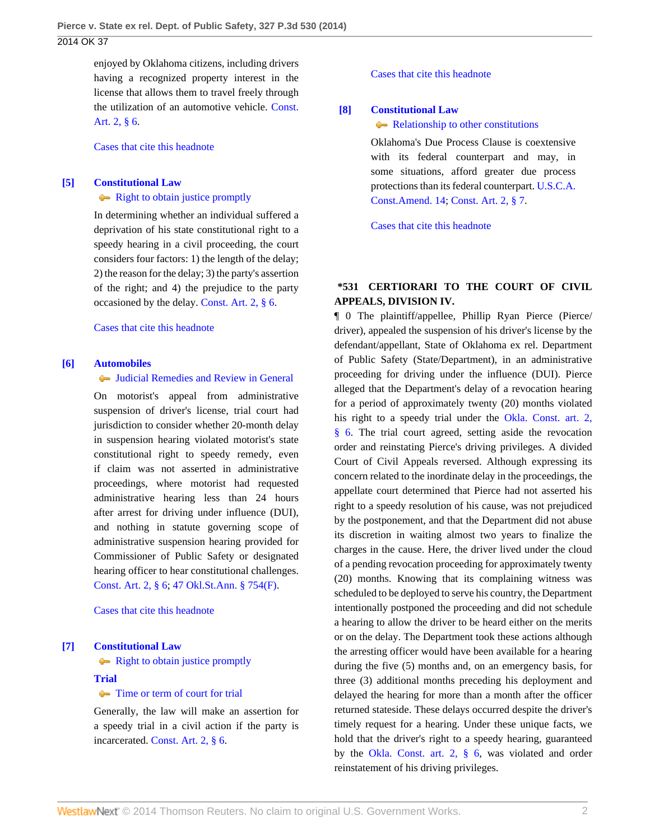enjoyed by Oklahoma citizens, including drivers having a recognized property interest in the license that allows them to travel freely through the utilization of an automotive vehicle. [Const.](http://www.westlaw.com/Link/Document/FullText?findType=L&pubNum=1000165&cite=OKCNART2S6&originatingDoc=Ia4a8df28d5ee11e39488c8f438320c70&refType=LQ&originationContext=document&vr=3.0&rs=cblt1.0&transitionType=DocumentItem&contextData=(sc.Search)) [Art. 2, § 6](http://www.westlaw.com/Link/Document/FullText?findType=L&pubNum=1000165&cite=OKCNART2S6&originatingDoc=Ia4a8df28d5ee11e39488c8f438320c70&refType=LQ&originationContext=document&vr=3.0&rs=cblt1.0&transitionType=DocumentItem&contextData=(sc.Search)).

[Cases that cite this headnote](http://www.westlaw.com/Link/RelatedInformation/DocHeadnoteLink?docGuid=Ia4a8df28d5ee11e39488c8f438320c70&headnoteId=203333421000420140720080755&originationContext=document&vr=3.0&rs=cblt1.0&transitionType=CitingReferences&contextData=(sc.Search))

### <span id="page-1-1"></span>**[\[5\]](#page-3-2) [Constitutional Law](http://www.westlaw.com/Browse/Home/KeyNumber/92/View.html?docGuid=Ia4a8df28d5ee11e39488c8f438320c70&originationContext=document&vr=3.0&rs=cblt1.0&transitionType=DocumentItem&contextData=(sc.Search))**

### [Right to obtain justice promptly](http://www.westlaw.com/Browse/Home/KeyNumber/92k2323/View.html?docGuid=Ia4a8df28d5ee11e39488c8f438320c70&originationContext=document&vr=3.0&rs=cblt1.0&transitionType=DocumentItem&contextData=(sc.Search))

In determining whether an individual suffered a deprivation of his state constitutional right to a speedy hearing in a civil proceeding, the court considers four factors: 1) the length of the delay; 2) the reason for the delay; 3) the party's assertion of the right; and 4) the prejudice to the party occasioned by the delay. [Const. Art. 2, § 6](http://www.westlaw.com/Link/Document/FullText?findType=L&pubNum=1000165&cite=OKCNART2S6&originatingDoc=Ia4a8df28d5ee11e39488c8f438320c70&refType=LQ&originationContext=document&vr=3.0&rs=cblt1.0&transitionType=DocumentItem&contextData=(sc.Search)).

#### [Cases that cite this headnote](http://www.westlaw.com/Link/RelatedInformation/DocHeadnoteLink?docGuid=Ia4a8df28d5ee11e39488c8f438320c70&headnoteId=203333421000520140720080755&originationContext=document&vr=3.0&rs=cblt1.0&transitionType=CitingReferences&contextData=(sc.Search))

#### <span id="page-1-0"></span>**[\[6\]](#page-3-3) [Automobiles](http://www.westlaw.com/Browse/Home/KeyNumber/48A/View.html?docGuid=Ia4a8df28d5ee11e39488c8f438320c70&originationContext=document&vr=3.0&rs=cblt1.0&transitionType=DocumentItem&contextData=(sc.Search))**

### [Judicial Remedies and Review in General](http://www.westlaw.com/Browse/Home/KeyNumber/48Ak144.2(2)/View.html?docGuid=Ia4a8df28d5ee11e39488c8f438320c70&originationContext=document&vr=3.0&rs=cblt1.0&transitionType=DocumentItem&contextData=(sc.Search))

On motorist's appeal from administrative suspension of driver's license, trial court had jurisdiction to consider whether 20-month delay in suspension hearing violated motorist's state constitutional right to speedy remedy, even if claim was not asserted in administrative proceedings, where motorist had requested administrative hearing less than 24 hours after arrest for driving under influence (DUI), and nothing in statute governing scope of administrative suspension hearing provided for Commissioner of Public Safety or designated hearing officer to hear constitutional challenges. [Const. Art. 2, § 6;](http://www.westlaw.com/Link/Document/FullText?findType=L&pubNum=1000165&cite=OKCNART2S6&originatingDoc=Ia4a8df28d5ee11e39488c8f438320c70&refType=LQ&originationContext=document&vr=3.0&rs=cblt1.0&transitionType=DocumentItem&contextData=(sc.Search)) [47 Okl.St.Ann. § 754\(F\).](http://www.westlaw.com/Link/Document/FullText?findType=L&pubNum=1000165&cite=OKSTT47S754&originatingDoc=Ia4a8df28d5ee11e39488c8f438320c70&refType=LQ&originationContext=document&vr=3.0&rs=cblt1.0&transitionType=DocumentItem&contextData=(sc.Search))

[Cases that cite this headnote](http://www.westlaw.com/Link/RelatedInformation/DocHeadnoteLink?docGuid=Ia4a8df28d5ee11e39488c8f438320c70&headnoteId=203333421000620140720080755&originationContext=document&vr=3.0&rs=cblt1.0&transitionType=CitingReferences&contextData=(sc.Search))

#### <span id="page-1-2"></span>**[\[7\]](#page-3-4) [Constitutional Law](http://www.westlaw.com/Browse/Home/KeyNumber/92/View.html?docGuid=Ia4a8df28d5ee11e39488c8f438320c70&originationContext=document&vr=3.0&rs=cblt1.0&transitionType=DocumentItem&contextData=(sc.Search))**

• [Right to obtain justice promptly](http://www.westlaw.com/Browse/Home/KeyNumber/92k2323/View.html?docGuid=Ia4a8df28d5ee11e39488c8f438320c70&originationContext=document&vr=3.0&rs=cblt1.0&transitionType=DocumentItem&contextData=(sc.Search))

#### **[Trial](http://www.westlaw.com/Browse/Home/KeyNumber/388/View.html?docGuid=Ia4a8df28d5ee11e39488c8f438320c70&originationContext=document&vr=3.0&rs=cblt1.0&transitionType=DocumentItem&contextData=(sc.Search))**

### • [Time or term of court for trial](http://www.westlaw.com/Browse/Home/KeyNumber/388k5/View.html?docGuid=Ia4a8df28d5ee11e39488c8f438320c70&originationContext=document&vr=3.0&rs=cblt1.0&transitionType=DocumentItem&contextData=(sc.Search))

Generally, the law will make an assertion for a speedy trial in a civil action if the party is incarcerated. [Const. Art. 2, § 6.](http://www.westlaw.com/Link/Document/FullText?findType=L&pubNum=1000165&cite=OKCNART2S6&originatingDoc=Ia4a8df28d5ee11e39488c8f438320c70&refType=LQ&originationContext=document&vr=3.0&rs=cblt1.0&transitionType=DocumentItem&contextData=(sc.Search))

[Cases that cite this headnote](http://www.westlaw.com/Link/RelatedInformation/DocHeadnoteLink?docGuid=Ia4a8df28d5ee11e39488c8f438320c70&headnoteId=203333421000720140720080755&originationContext=document&vr=3.0&rs=cblt1.0&transitionType=CitingReferences&contextData=(sc.Search))

### <span id="page-1-3"></span>**[\[8\]](#page-4-0) [Constitutional Law](http://www.westlaw.com/Browse/Home/KeyNumber/92/View.html?docGuid=Ia4a8df28d5ee11e39488c8f438320c70&originationContext=document&vr=3.0&rs=cblt1.0&transitionType=DocumentItem&contextData=(sc.Search))**

[Relationship to other constitutions](http://www.westlaw.com/Browse/Home/KeyNumber/92k3847/View.html?docGuid=Ia4a8df28d5ee11e39488c8f438320c70&originationContext=document&vr=3.0&rs=cblt1.0&transitionType=DocumentItem&contextData=(sc.Search))

Oklahoma's Due Process Clause is coextensive with its federal counterpart and may, in some situations, afford greater due process protections than its federal counterpart. [U.S.C.A.](http://www.westlaw.com/Link/Document/FullText?findType=L&pubNum=1000546&cite=USCOAMENDXIV&originatingDoc=Ia4a8df28d5ee11e39488c8f438320c70&refType=LQ&originationContext=document&vr=3.0&rs=cblt1.0&transitionType=DocumentItem&contextData=(sc.Search)) [Const.Amend. 14;](http://www.westlaw.com/Link/Document/FullText?findType=L&pubNum=1000546&cite=USCOAMENDXIV&originatingDoc=Ia4a8df28d5ee11e39488c8f438320c70&refType=LQ&originationContext=document&vr=3.0&rs=cblt1.0&transitionType=DocumentItem&contextData=(sc.Search)) [Const. Art. 2, § 7](http://www.westlaw.com/Link/Document/FullText?findType=L&pubNum=1000165&cite=OKCNART2S7&originatingDoc=Ia4a8df28d5ee11e39488c8f438320c70&refType=LQ&originationContext=document&vr=3.0&rs=cblt1.0&transitionType=DocumentItem&contextData=(sc.Search)).

[Cases that cite this headnote](http://www.westlaw.com/Link/RelatedInformation/DocHeadnoteLink?docGuid=Ia4a8df28d5ee11e39488c8f438320c70&headnoteId=203333421000820140720080755&originationContext=document&vr=3.0&rs=cblt1.0&transitionType=CitingReferences&contextData=(sc.Search))

# **\*531 CERTIORARI TO THE COURT OF CIVIL APPEALS, DIVISION IV.**

¶ 0 The plaintiff/appellee, Phillip Ryan Pierce (Pierce/ driver), appealed the suspension of his driver's license by the defendant/appellant, State of Oklahoma ex rel. Department of Public Safety (State/Department), in an administrative proceeding for driving under the influence (DUI). Pierce alleged that the Department's delay of a revocation hearing for a period of approximately twenty (20) months violated his right to a speedy trial under the [Okla. Const. art. 2,](http://www.westlaw.com/Link/Document/FullText?findType=L&pubNum=1000165&cite=OKCNART2S6&originatingDoc=Ia4a8df28d5ee11e39488c8f438320c70&refType=LQ&originationContext=document&vr=3.0&rs=cblt1.0&transitionType=DocumentItem&contextData=(sc.Search)) [§ 6](http://www.westlaw.com/Link/Document/FullText?findType=L&pubNum=1000165&cite=OKCNART2S6&originatingDoc=Ia4a8df28d5ee11e39488c8f438320c70&refType=LQ&originationContext=document&vr=3.0&rs=cblt1.0&transitionType=DocumentItem&contextData=(sc.Search)). The trial court agreed, setting aside the revocation order and reinstating Pierce's driving privileges. A divided Court of Civil Appeals reversed. Although expressing its concern related to the inordinate delay in the proceedings, the appellate court determined that Pierce had not asserted his right to a speedy resolution of his cause, was not prejudiced by the postponement, and that the Department did not abuse its discretion in waiting almost two years to finalize the charges in the cause. Here, the driver lived under the cloud of a pending revocation proceeding for approximately twenty (20) months. Knowing that its complaining witness was scheduled to be deployed to serve his country, the Department intentionally postponed the proceeding and did not schedule a hearing to allow the driver to be heard either on the merits or on the delay. The Department took these actions although the arresting officer would have been available for a hearing during the five (5) months and, on an emergency basis, for three (3) additional months preceding his deployment and delayed the hearing for more than a month after the officer returned stateside. These delays occurred despite the driver's timely request for a hearing. Under these unique facts, we hold that the driver's right to a speedy hearing, guaranteed by the [Okla. Const. art. 2, § 6,](http://www.westlaw.com/Link/Document/FullText?findType=L&pubNum=1000165&cite=OKCNART2S6&originatingDoc=Ia4a8df28d5ee11e39488c8f438320c70&refType=LQ&originationContext=document&vr=3.0&rs=cblt1.0&transitionType=DocumentItem&contextData=(sc.Search)) was violated and order reinstatement of his driving privileges.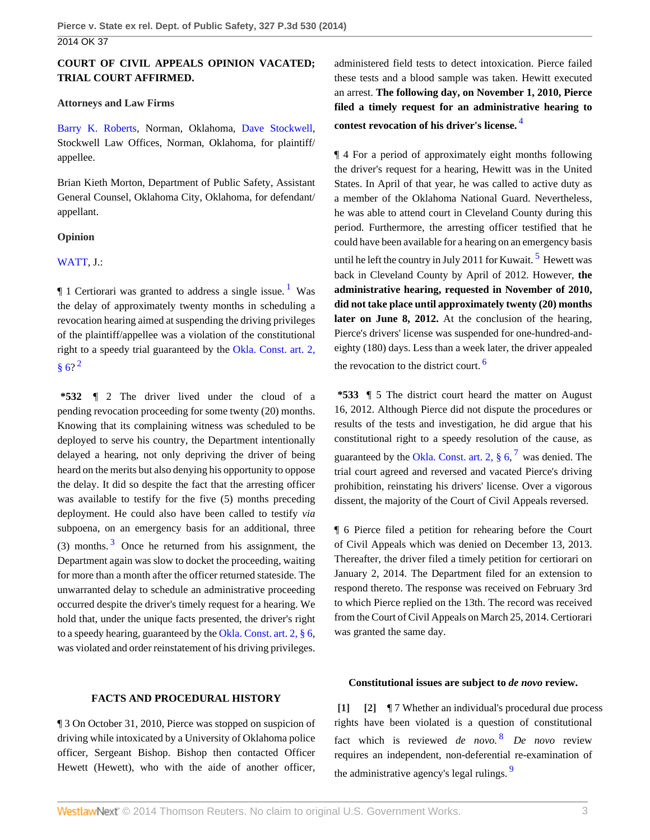# **COURT OF CIVIL APPEALS OPINION VACATED; TRIAL COURT AFFIRMED.**

### **Attorneys and Law Firms**

[Barry K. Roberts,](http://www.westlaw.com/Link/Document/FullText?findType=h&pubNum=176284&cite=0286689401&originatingDoc=Ia4a8df28d5ee11e39488c8f438320c70&refType=RQ&originationContext=document&vr=3.0&rs=cblt1.0&transitionType=DocumentItem&contextData=(sc.Search)) Norman, Oklahoma, [Dave Stockwell](http://www.westlaw.com/Link/Document/FullText?findType=h&pubNum=176284&cite=0197759801&originatingDoc=Ia4a8df28d5ee11e39488c8f438320c70&refType=RQ&originationContext=document&vr=3.0&rs=cblt1.0&transitionType=DocumentItem&contextData=(sc.Search)), Stockwell Law Offices, Norman, Oklahoma, for plaintiff/ appellee.

Brian Kieth Morton, Department of Public Safety, Assistant General Counsel, Oklahoma City, Oklahoma, for defendant/ appellant.

## **Opinion**

# [WATT,](http://www.westlaw.com/Link/Document/FullText?findType=h&pubNum=176284&cite=0176177301&originatingDoc=Ia4a8df28d5ee11e39488c8f438320c70&refType=RQ&originationContext=document&vr=3.0&rs=cblt1.0&transitionType=DocumentItem&contextData=(sc.Search)) J.:

 $\parallel$  [1](#page-5-0) Certiorari was granted to address a single issue.<sup>1</sup> Was the delay of approximately twenty months in scheduling a revocation hearing aimed at suspending the driving privileges of the plaintiff/appellee was a violation of the constitutional right to a speedy trial guaranteed by the [Okla. Const. art. 2,](http://www.westlaw.com/Link/Document/FullText?findType=L&pubNum=1000165&cite=OKCNART2S6&originatingDoc=Ia4a8df28d5ee11e39488c8f438320c70&refType=LQ&originationContext=document&vr=3.0&rs=cblt1.0&transitionType=DocumentItem&contextData=(sc.Search))  $§ 6?^2$  $§ 6?^2$  $§ 6?^2$ 

<span id="page-2-4"></span><span id="page-2-3"></span>**\*532** ¶ 2 The driver lived under the cloud of a pending revocation proceeding for some twenty (20) months. Knowing that its complaining witness was scheduled to be deployed to serve his country, the Department intentionally delayed a hearing, not only depriving the driver of being heard on the merits but also denying his opportunity to oppose the delay. It did so despite the fact that the arresting officer was available to testify for the five (5) months preceding deployment. He could also have been called to testify *via* subpoena, on an emergency basis for an additional, three ([3](#page-5-2)) months.  $3$  Once he returned from his assignment, the Department again was slow to docket the proceeding, waiting for more than a month after the officer returned stateside. The unwarranted delay to schedule an administrative proceeding occurred despite the driver's timely request for a hearing. We hold that, under the unique facts presented, the driver's right to a speedy hearing, guaranteed by the [Okla. Const. art. 2, § 6,](http://www.westlaw.com/Link/Document/FullText?findType=L&pubNum=1000165&cite=OKCNART2S6&originatingDoc=Ia4a8df28d5ee11e39488c8f438320c70&refType=LQ&originationContext=document&vr=3.0&rs=cblt1.0&transitionType=DocumentItem&contextData=(sc.Search)) was violated and order reinstatement of his driving privileges. administered field tests to detect intoxication. Pierce failed these tests and a blood sample was taken. Hewitt executed an arrest. **The following day, on November 1, 2010, Pierce filed a timely request for an administrative hearing to contest revocation of his driver's license.** [4](#page-5-3)

<span id="page-2-6"></span><span id="page-2-5"></span>¶ 4 For a period of approximately eight months following the driver's request for a hearing, Hewitt was in the United States. In April of that year, he was called to active duty as a member of the Oklahoma National Guard. Nevertheless, he was able to attend court in Cleveland County during this period. Furthermore, the arresting officer testified that he could have been available for a hearing on an emergency basis until he left the country in July 2011 for Kuwait.  $5$  Hewett was back in Cleveland County by April of 2012. However, **the administrative hearing, requested in November of 2010, did not take place until approximately twenty (20) months later on June 8, 2012.** At the conclusion of the hearing, Pierce's drivers' license was suspended for one-hundred-andeighty (180) days. Less than a week later, the driver appealed the revocation to the district court. [6](#page-5-5)

<span id="page-2-8"></span><span id="page-2-7"></span><span id="page-2-2"></span>**\*533** ¶ 5 The district court heard the matter on August 16, 2012. Although Pierce did not dispute the procedures or results of the tests and investigation, he did argue that his constitutional right to a speedy resolution of the cause, as guaranteed by the Okla. Const. art. 2,  $\S 6, \n7$  $\S 6, \n7$  was denied. The trial court agreed and reversed and vacated Pierce's driving prohibition, reinstating his drivers' license. Over a vigorous dissent, the majority of the Court of Civil Appeals reversed.

¶ 6 Pierce filed a petition for rehearing before the Court of Civil Appeals which was denied on December 13, 2013. Thereafter, the driver filed a timely petition for certiorari on January 2, 2014. The Department filed for an extension to respond thereto. The response was received on February 3rd to which Pierce replied on the 13th. The record was received from the Court of Civil Appeals on March 25, 2014. Certiorari was granted the same day.

#### **FACTS AND PROCEDURAL HISTORY**

¶ 3 On October 31, 2010, Pierce was stopped on suspicion of driving while intoxicated by a University of Oklahoma police officer, Sergeant Bishop. Bishop then contacted Officer Hewett (Hewett), who with the aide of another officer,

#### <span id="page-2-10"></span><span id="page-2-9"></span><span id="page-2-1"></span><span id="page-2-0"></span>**Constitutional issues are subject to** *de novo* **review.**

**[\[1\]](#page-0-1) [\[2\]](#page-0-2)** ¶ 7 Whether an individual's procedural due process rights have been violated is a question of constitutional fact which is reviewed *de novo.* [8](#page-6-1) *De novo* review requires an independent, non-deferential re-examination of the administrative agency's legal rulings.<sup>[9](#page-6-2)</sup>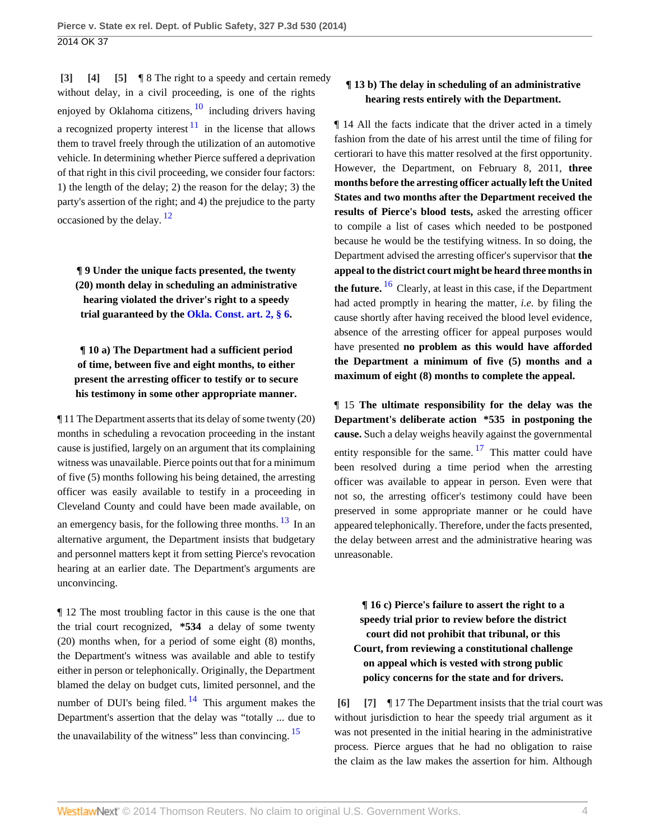<span id="page-3-6"></span><span id="page-3-5"></span><span id="page-3-2"></span><span id="page-3-1"></span><span id="page-3-0"></span>**[\[3\]](#page-0-0) [\[4\]](#page-0-3) [\[5\]](#page-1-1)** ¶ 8 The right to a speedy and certain remedy without delay, in a civil proceeding, is one of the rights enjoyed by Oklahoma citizens,  $\frac{10}{10}$  $\frac{10}{10}$  $\frac{10}{10}$  including drivers having a recognized property interest  $11$  in the license that allows them to travel freely through the utilization of an automotive vehicle. In determining whether Pierce suffered a deprivation of that right in this civil proceeding, we consider four factors: 1) the length of the delay; 2) the reason for the delay; 3) the party's assertion of the right; and 4) the prejudice to the party occasioned by the delay.<sup>[12](#page-6-5)</sup>

<span id="page-3-7"></span>**¶ 9 Under the unique facts presented, the twenty (20) month delay in scheduling an administrative hearing violated the driver's right to a speedy trial guaranteed by the [Okla. Const. art. 2, § 6.](http://www.westlaw.com/Link/Document/FullText?findType=L&pubNum=1000165&cite=OKCNART2S6&originatingDoc=Ia4a8df28d5ee11e39488c8f438320c70&refType=LQ&originationContext=document&vr=3.0&rs=cblt1.0&transitionType=DocumentItem&contextData=(sc.Search))**

**¶ 10 a) The Department had a sufficient period of time, between five and eight months, to either present the arresting officer to testify or to secure his testimony in some other appropriate manner.**

¶ 11 The Department asserts that its delay of some twenty (20) months in scheduling a revocation proceeding in the instant cause is justified, largely on an argument that its complaining witness was unavailable. Pierce points out that for a minimum of five (5) months following his being detained, the arresting officer was easily available to testify in a proceeding in Cleveland County and could have been made available, on an emergency basis, for the following three months.  $\frac{13}{13}$  $\frac{13}{13}$  $\frac{13}{13}$  In an alternative argument, the Department insists that budgetary and personnel matters kept it from setting Pierce's revocation hearing at an earlier date. The Department's arguments are unconvincing.

¶ 12 The most troubling factor in this cause is the one that the trial court recognized, **\*534** a delay of some twenty (20) months when, for a period of some eight (8) months, the Department's witness was available and able to testify either in person or telephonically. Originally, the Department blamed the delay on budget cuts, limited personnel, and the number of DUI's being filed.  $14$  This argument makes the Department's assertion that the delay was "totally ... due to the unavailability of the witness" less than convincing.  $15$ 

# **¶ 13 b) The delay in scheduling of an administrative hearing rests entirely with the Department.**

¶ 14 All the facts indicate that the driver acted in a timely fashion from the date of his arrest until the time of filing for certiorari to have this matter resolved at the first opportunity. However, the Department, on February 8, 2011, **three months before the arresting officer actually left the United States and two months after the Department received the results of Pierce's blood tests,** asked the arresting officer to compile a list of cases which needed to be postponed because he would be the testifying witness. In so doing, the Department advised the arresting officer's supervisor that **the appeal to the district court might be heard three months in the future.** [16](#page-6-9) Clearly, at least in this case, if the Department had acted promptly in hearing the matter, *i.e.* by filing the cause shortly after having received the blood level evidence, absence of the arresting officer for appeal purposes would have presented **no problem as this would have afforded the Department a minimum of five (5) months and a maximum of eight (8) months to complete the appeal.**

<span id="page-3-12"></span><span id="page-3-11"></span>¶ 15 **The ultimate responsibility for the delay was the Department's deliberate action \*535 in postponing the cause.** Such a delay weighs heavily against the governmental entity responsible for the same.  $17$  This matter could have been resolved during a time period when the arresting officer was available to appear in person. Even were that not so, the arresting officer's testimony could have been preserved in some appropriate manner or he could have appeared telephonically. Therefore, under the facts presented, the delay between arrest and the administrative hearing was unreasonable.

<span id="page-3-8"></span>**¶ 16 c) Pierce's failure to assert the right to a speedy trial prior to review before the district court did not prohibit that tribunal, or this Court, from reviewing a constitutional challenge on appeal which is vested with strong public policy concerns for the state and for drivers.**

<span id="page-3-10"></span><span id="page-3-9"></span><span id="page-3-4"></span><span id="page-3-3"></span>**[\[6\]](#page-1-0) [\[7\]](#page-1-2)** ¶ 17 The Department insists that the trial court was without jurisdiction to hear the speedy trial argument as it was not presented in the initial hearing in the administrative process. Pierce argues that he had no obligation to raise the claim as the law makes the assertion for him. Although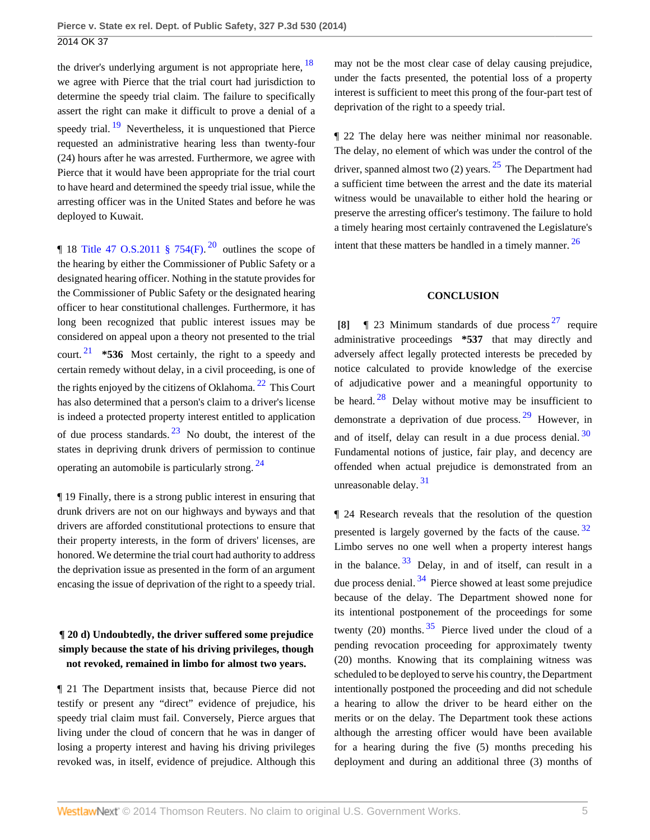<span id="page-4-2"></span>the driver's underlying argument is not appropriate here,  $18$ we agree with Pierce that the trial court had jurisdiction to determine the speedy trial claim. The failure to specifically assert the right can make it difficult to prove a denial of a speedy trial.  $\frac{19}{19}$  $\frac{19}{19}$  $\frac{19}{19}$  Nevertheless, it is unquestioned that Pierce requested an administrative hearing less than twenty-four (24) hours after he was arrested. Furthermore, we agree with Pierce that it would have been appropriate for the trial court to have heard and determined the speedy trial issue, while the arresting officer was in the United States and before he was deployed to Kuwait.

<span id="page-4-4"></span><span id="page-4-3"></span>|| 18 Title 47 O.S.[20](#page-6-13)11  $\frac{1}{9}$  754(F).<sup>20</sup> outlines the scope of the hearing by either the Commissioner of Public Safety or a designated hearing officer. Nothing in the statute provides for the Commissioner of Public Safety or the designated hearing officer to hear constitutional challenges. Furthermore, it has long been recognized that public interest issues may be considered on appeal upon a theory not presented to the trial court. [21](#page-7-0) **\*536** Most certainly, the right to a speedy and certain remedy without delay, in a civil proceeding, is one of the rights enjoyed by the citizens of Oklahoma.  $^{22}$  $^{22}$  $^{22}$  This Court has also determined that a person's claim to a driver's license is indeed a protected property interest entitled to application of due process standards.  $^{23}$  $^{23}$  $^{23}$  No doubt, the interest of the states in depriving drunk drivers of permission to continue operating an automobile is particularly strong.  $24$ 

<span id="page-4-6"></span>¶ 19 Finally, there is a strong public interest in ensuring that drunk drivers are not on our highways and byways and that drivers are afforded constitutional protections to ensure that their property interests, in the form of drivers' licenses, are honored. We determine the trial court had authority to address the deprivation issue as presented in the form of an argument encasing the issue of deprivation of the right to a speedy trial.

# **¶ 20 d) Undoubtedly, the driver suffered some prejudice simply because the state of his driving privileges, though not revoked, remained in limbo for almost two years.**

¶ 21 The Department insists that, because Pierce did not testify or present any "direct" evidence of prejudice, his speedy trial claim must fail. Conversely, Pierce argues that living under the cloud of concern that he was in danger of losing a property interest and having his driving privileges revoked was, in itself, evidence of prejudice. Although this <span id="page-4-1"></span>may not be the most clear case of delay causing prejudice, under the facts presented, the potential loss of a property interest is sufficient to meet this prong of the four-part test of deprivation of the right to a speedy trial.

¶ 22 The delay here was neither minimal nor reasonable. The delay, no element of which was under the control of the driver, spanned almost two  $(2)$  years. <sup>[25](#page-7-4)</sup> The Department had a sufficient time between the arrest and the date its material witness would be unavailable to either hold the hearing or preserve the arresting officer's testimony. The failure to hold a timely hearing most certainly contravened the Legislature's intent that these matters be handled in a timely manner. [26](#page-7-5)

### <span id="page-4-13"></span><span id="page-4-12"></span><span id="page-4-10"></span><span id="page-4-9"></span><span id="page-4-8"></span>**CONCLUSION**

<span id="page-4-11"></span><span id="page-4-5"></span><span id="page-4-0"></span>**[\[8\]](#page-1-3)** ¶ 23 Minimum standards of due process [27](#page-7-6) require administrative proceedings **\*537** that may directly and adversely affect legally protected interests be preceded by notice calculated to provide knowledge of the exercise of adjudicative power and a meaningful opportunity to be heard.  $28$  Delay without motive may be insufficient to demonstrate a deprivation of due process. [29](#page-7-8) However, in and of itself, delay can result in a due process denial.  $30$ Fundamental notions of justice, fair play, and decency are offended when actual prejudice is demonstrated from an unreasonable delay.<sup>[31](#page-7-10)</sup>

<span id="page-4-18"></span><span id="page-4-17"></span><span id="page-4-16"></span><span id="page-4-15"></span><span id="page-4-14"></span><span id="page-4-7"></span>¶ 24 Research reveals that the resolution of the question presented is largely governed by the facts of the cause. [32](#page-7-11) Limbo serves no one well when a property interest hangs in the balance.  $33$  Delay, in and of itself, can result in a due process denial.  $34$  Pierce showed at least some prejudice because of the delay. The Department showed none for its intentional postponement of the proceedings for some twenty (20) months.  $35$  Pierce lived under the cloud of a pending revocation proceeding for approximately twenty (20) months. Knowing that its complaining witness was scheduled to be deployed to serve his country, the Department intentionally postponed the proceeding and did not schedule a hearing to allow the driver to be heard either on the merits or on the delay. The Department took these actions although the arresting officer would have been available for a hearing during the five (5) months preceding his deployment and during an additional three (3) months of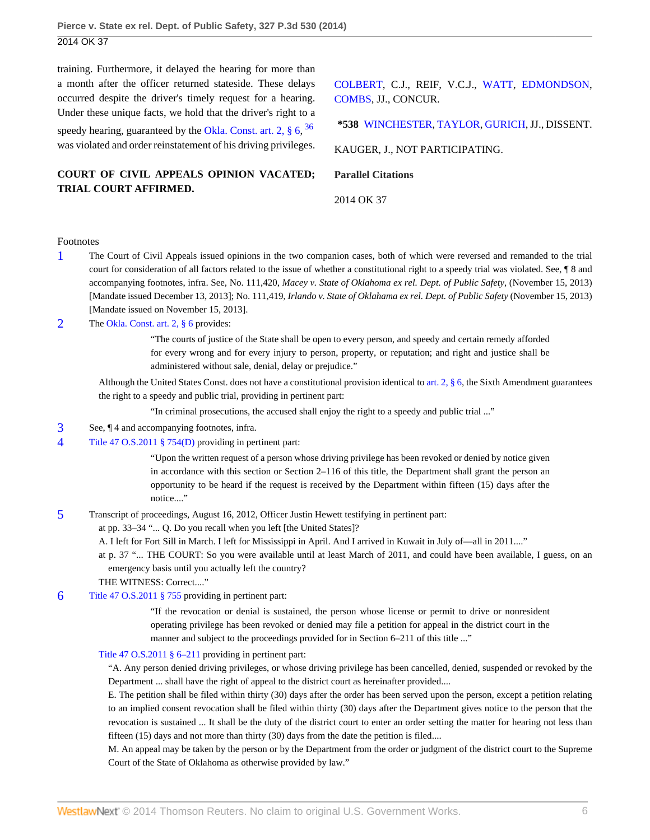training. Furthermore, it delayed the hearing for more than a month after the officer returned stateside. These delays occurred despite the driver's timely request for a hearing. Under these unique facts, we hold that the driver's right to a speedy hearing, guaranteed by the Okla. Const. art. 2,  $\S 6$ ,  $36$ was violated and order reinstatement of his driving privileges.

**COURT OF CIVIL APPEALS OPINION VACATED; TRIAL COURT AFFIRMED.**

[COLBERT,](http://www.westlaw.com/Link/Document/FullText?findType=h&pubNum=176284&cite=0280576601&originatingDoc=Ia4a8df28d5ee11e39488c8f438320c70&refType=RQ&originationContext=document&vr=3.0&rs=cblt1.0&transitionType=DocumentItem&contextData=(sc.Search)) C.J., REIF, V.C.J., [WATT,](http://www.westlaw.com/Link/Document/FullText?findType=h&pubNum=176284&cite=0176177301&originatingDoc=Ia4a8df28d5ee11e39488c8f438320c70&refType=RQ&originationContext=document&vr=3.0&rs=cblt1.0&transitionType=DocumentItem&contextData=(sc.Search)) [EDMONDSON,](http://www.westlaw.com/Link/Document/FullText?findType=h&pubNum=176284&cite=0176202101&originatingDoc=Ia4a8df28d5ee11e39488c8f438320c70&refType=RQ&originationContext=document&vr=3.0&rs=cblt1.0&transitionType=DocumentItem&contextData=(sc.Search)) [COMBS](http://www.westlaw.com/Link/Document/FullText?findType=h&pubNum=176284&cite=0143190401&originatingDoc=Ia4a8df28d5ee11e39488c8f438320c70&refType=RQ&originationContext=document&vr=3.0&rs=cblt1.0&transitionType=DocumentItem&contextData=(sc.Search)), JJ., CONCUR.

<span id="page-5-6"></span>**\*538** [WINCHESTER](http://www.westlaw.com/Link/Document/FullText?findType=h&pubNum=176284&cite=0126784101&originatingDoc=Ia4a8df28d5ee11e39488c8f438320c70&refType=RQ&originationContext=document&vr=3.0&rs=cblt1.0&transitionType=DocumentItem&contextData=(sc.Search)), [TAYLOR](http://www.westlaw.com/Link/Document/FullText?findType=h&pubNum=176284&cite=0169500901&originatingDoc=Ia4a8df28d5ee11e39488c8f438320c70&refType=RQ&originationContext=document&vr=3.0&rs=cblt1.0&transitionType=DocumentItem&contextData=(sc.Search)), [GURICH](http://www.westlaw.com/Link/Document/FullText?findType=h&pubNum=176284&cite=0180213701&originatingDoc=Ia4a8df28d5ee11e39488c8f438320c70&refType=RQ&originationContext=document&vr=3.0&rs=cblt1.0&transitionType=DocumentItem&contextData=(sc.Search)), JJ., DISSENT.

KAUGER, J., NOT PARTICIPATING.

**Parallel Citations**

2014 OK 37

#### Footnotes

- <span id="page-5-0"></span>[1](#page-2-2) The Court of Civil Appeals issued opinions in the two companion cases, both of which were reversed and remanded to the trial court for consideration of all factors related to the issue of whether a constitutional right to a speedy trial was violated. See, ¶ 8 and accompanying footnotes, infra. See, No. 111,420, *Macey v. State of Oklahoma ex rel. Dept. of Public Safety,* (November 15, 2013) [Mandate issued December 13, 2013]; No. 111,419, *Irlando v. State of Oklahama ex rel. Dept. of Public Safety* (November 15, 2013) [Mandate issued on November 15, 2013].
- <span id="page-5-1"></span>[2](#page-2-3) The [Okla. Const. art. 2, § 6](http://www.westlaw.com/Link/Document/FullText?findType=L&pubNum=1000165&cite=OKCNART2S6&originatingDoc=Ia4a8df28d5ee11e39488c8f438320c70&refType=LQ&originationContext=document&vr=3.0&rs=cblt1.0&transitionType=DocumentItem&contextData=(sc.Search)) provides:

"The courts of justice of the State shall be open to every person, and speedy and certain remedy afforded for every wrong and for every injury to person, property, or reputation; and right and justice shall be administered without sale, denial, delay or prejudice."

Although the United States Const. does not have a constitutional provision identical to [art. 2, § 6](http://www.westlaw.com/Link/Document/FullText?findType=L&pubNum=1000165&cite=OKCNART2S6&originatingDoc=Ia4a8df28d5ee11e39488c8f438320c70&refType=LQ&originationContext=document&vr=3.0&rs=cblt1.0&transitionType=DocumentItem&contextData=(sc.Search)), the Sixth Amendment guarantees the right to a speedy and public trial, providing in pertinent part:

"In criminal prosecutions, the accused shall enjoy the right to a speedy and public trial ..."

- <span id="page-5-2"></span>[3](#page-2-4) See, ¶ 4 and accompanying footnotes, infra.
- <span id="page-5-3"></span>[4](#page-2-5) [Title 47 O.S.2011 § 754\(D\)](http://www.westlaw.com/Link/Document/FullText?findType=L&pubNum=1000165&cite=OKSTT47S754&originatingDoc=Ia4a8df28d5ee11e39488c8f438320c70&refType=LQ&originationContext=document&vr=3.0&rs=cblt1.0&transitionType=DocumentItem&contextData=(sc.Search)) providing in pertinent part:

"Upon the written request of a person whose driving privilege has been revoked or denied by notice given in accordance with this section or Section 2–116 of this title, the Department shall grant the person an opportunity to be heard if the request is received by the Department within fifteen (15) days after the notice...."

<span id="page-5-4"></span>[5](#page-2-6) Transcript of proceedings, August 16, 2012, Officer Justin Hewett testifying in pertinent part:

at pp. 33–34 "... Q. Do you recall when you left [the United States]?

- A. I left for Fort Sill in March. I left for Mississippi in April. And I arrived in Kuwait in July of—all in 2011...."
- at p. 37 "... THE COURT: So you were available until at least March of 2011, and could have been available, I guess, on an emergency basis until you actually left the country?
- THE WITNESS: Correct...."
- <span id="page-5-5"></span>[6](#page-2-7) [Title 47 O.S.2011 § 755](http://www.westlaw.com/Link/Document/FullText?findType=L&pubNum=1000165&cite=OKSTT47S755&originatingDoc=Ia4a8df28d5ee11e39488c8f438320c70&refType=LQ&originationContext=document&vr=3.0&rs=cblt1.0&transitionType=DocumentItem&contextData=(sc.Search)) providing in pertinent part:

"If the revocation or denial is sustained, the person whose license or permit to drive or nonresident operating privilege has been revoked or denied may file a petition for appeal in the district court in the manner and subject to the proceedings provided for in Section 6–211 of this title ..."

#### [Title 47 O.S.2011 § 6–211](http://www.westlaw.com/Link/Document/FullText?findType=L&pubNum=1000165&cite=OKSTT47S6-211&originatingDoc=Ia4a8df28d5ee11e39488c8f438320c70&refType=LQ&originationContext=document&vr=3.0&rs=cblt1.0&transitionType=DocumentItem&contextData=(sc.Search)) providing in pertinent part:

"A. Any person denied driving privileges, or whose driving privilege has been cancelled, denied, suspended or revoked by the Department ... shall have the right of appeal to the district court as hereinafter provided....

E. The petition shall be filed within thirty (30) days after the order has been served upon the person, except a petition relating to an implied consent revocation shall be filed within thirty (30) days after the Department gives notice to the person that the revocation is sustained ... It shall be the duty of the district court to enter an order setting the matter for hearing not less than fifteen (15) days and not more than thirty (30) days from the date the petition is filed....

M. An appeal may be taken by the person or by the Department from the order or judgment of the district court to the Supreme Court of the State of Oklahoma as otherwise provided by law."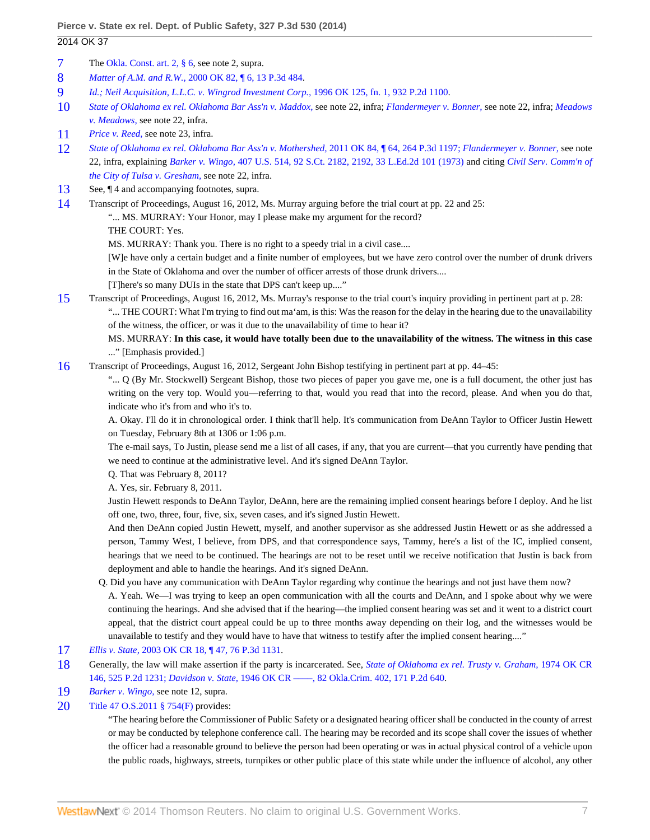## 2014 OK 37

- <span id="page-6-0"></span>[7](#page-2-8) The [Okla. Const. art. 2, § 6,](http://www.westlaw.com/Link/Document/FullText?findType=L&pubNum=1000165&cite=OKCNART2S6&originatingDoc=Ia4a8df28d5ee11e39488c8f438320c70&refType=LQ&originationContext=document&vr=3.0&rs=cblt1.0&transitionType=DocumentItem&contextData=(sc.Search)) see note 2, supra.
- <span id="page-6-1"></span>[8](#page-2-9) *Matter of A.M. and R.W.,* [2000 OK 82, ¶ 6, 13 P.3d 484](http://www.westlaw.com/Link/Document/FullText?findType=Y&serNum=2000582552&pubNum=4645&originationContext=document&vr=3.0&rs=cblt1.0&transitionType=DocumentItem&contextData=(sc.Search)).
- <span id="page-6-2"></span>[9](#page-2-10) *[Id.;](http://www.westlaw.com/Link/Document/FullText?findType=Y&serNum=2000582552&originationContext=document&vr=3.0&rs=cblt1.0&transitionType=DocumentItem&contextData=(sc.Search)) [Neil Acquisition, L.L.C. v. Wingrod Investment Corp.,](http://www.westlaw.com/Link/Document/FullText?findType=Y&serNum=1996258263&pubNum=661&originationContext=document&vr=3.0&rs=cblt1.0&transitionType=DocumentItem&contextData=(sc.Search))* 1996 OK 125, fn. 1, 932 P.2d 1100.
- <span id="page-6-3"></span>[10](#page-3-5) *[State of Oklahoma ex rel. Oklahoma Bar Ass'n v. Maddox,](http://www.westlaw.com/Link/Document/FullText?findType=Y&serNum=2010939359&originationContext=document&vr=3.0&rs=cblt1.0&transitionType=DocumentItem&contextData=(sc.Search))* see note 22, infra; *[Flandermeyer v. Bonner,](http://www.westlaw.com/Link/Document/FullText?findType=Y&serNum=2010695423&originationContext=document&vr=3.0&rs=cblt1.0&transitionType=DocumentItem&contextData=(sc.Search))* see note 22, infra; *[Meadows](http://www.westlaw.com/Link/Document/FullText?findType=Y&serNum=1980144106&originationContext=document&vr=3.0&rs=cblt1.0&transitionType=DocumentItem&contextData=(sc.Search)) [v. Meadows,](http://www.westlaw.com/Link/Document/FullText?findType=Y&serNum=1980144106&originationContext=document&vr=3.0&rs=cblt1.0&transitionType=DocumentItem&contextData=(sc.Search))* see note 22, infra.
- <span id="page-6-4"></span>[11](#page-3-6) *[Price v. Reed,](http://www.westlaw.com/Link/Document/FullText?findType=Y&serNum=1986135885&originationContext=document&vr=3.0&rs=cblt1.0&transitionType=DocumentItem&contextData=(sc.Search))* see note 23, infra.
- <span id="page-6-5"></span>[12](#page-3-7) *[State of Oklahoma ex rel. Oklahoma Bar Ass'n v. Mothershed,](http://www.westlaw.com/Link/Document/FullText?findType=Y&serNum=2026318773&pubNum=4645&originationContext=document&vr=3.0&rs=cblt1.0&transitionType=DocumentItem&contextData=(sc.Search))* 2011 OK 84, ¶ 64, 264 P.3d 1197; *[Flandermeyer v. Bonner,](http://www.westlaw.com/Link/Document/FullText?findType=Y&serNum=2010695423&originationContext=document&vr=3.0&rs=cblt1.0&transitionType=DocumentItem&contextData=(sc.Search))* see note 22, infra, explaining *Barker v. Wingo,* [407 U.S. 514, 92 S.Ct. 2182, 2192, 33 L.Ed.2d 101 \(1973\)](http://www.westlaw.com/Link/Document/FullText?findType=Y&serNum=1972127165&pubNum=708&fi=co_pp_sp_708_2192&originationContext=document&vr=3.0&rs=cblt1.0&transitionType=DocumentItem&contextData=(sc.Search)#co_pp_sp_708_2192) and citing *[Civil Serv. Comm'n of](http://www.westlaw.com/Link/Document/FullText?findType=Y&serNum=1982146901&originationContext=document&vr=3.0&rs=cblt1.0&transitionType=DocumentItem&contextData=(sc.Search)) [the City of Tulsa v. Gresham,](http://www.westlaw.com/Link/Document/FullText?findType=Y&serNum=1982146901&originationContext=document&vr=3.0&rs=cblt1.0&transitionType=DocumentItem&contextData=(sc.Search))* see note 22, infra.
- <span id="page-6-6"></span>[13](#page-3-8) See,  $\P$  4 and accompanying footnotes, supra.
- <span id="page-6-7"></span>[14](#page-3-9) Transcript of Proceedings, August 16, 2012, Ms. Murray arguing before the trial court at pp. 22 and 25:

"... MS. MURRAY: Your Honor, may I please make my argument for the record?

THE COURT: Yes.

MS. MURRAY: Thank you. There is no right to a speedy trial in a civil case....

[W]e have only a certain budget and a finite number of employees, but we have zero control over the number of drunk drivers in the State of Oklahoma and over the number of officer arrests of those drunk drivers....

- [T]here's so many DUIs in the state that DPS can't keep up...."
- <span id="page-6-8"></span>[15](#page-3-10) Transcript of Proceedings, August 16, 2012, Ms. Murray's response to the trial court's inquiry providing in pertinent part at p. 28:

"... THE COURT: What I'm trying to find out ma'am, is this: Was the reason for the delay in the hearing due to the unavailability of the witness, the officer, or was it due to the unavailability of time to hear it?

### MS. MURRAY: **In this case, it would have totally been due to the unavailability of the witness. The witness in this case** ..." [Emphasis provided.]

<span id="page-6-9"></span>[16](#page-3-11) Transcript of Proceedings, August 16, 2012, Sergeant John Bishop testifying in pertinent part at pp. 44–45:

"... Q (By Mr. Stockwell) Sergeant Bishop, those two pieces of paper you gave me, one is a full document, the other just has writing on the very top. Would you—referring to that, would you read that into the record, please. And when you do that, indicate who it's from and who it's to.

A. Okay. I'll do it in chronological order. I think that'll help. It's communication from DeAnn Taylor to Officer Justin Hewett on Tuesday, February 8th at 1306 or 1:06 p.m.

The e-mail says, To Justin, please send me a list of all cases, if any, that you are current—that you currently have pending that we need to continue at the administrative level. And it's signed DeAnn Taylor.

Q. That was February 8, 2011?

A. Yes, sir. February 8, 2011.

Justin Hewett responds to DeAnn Taylor, DeAnn, here are the remaining implied consent hearings before I deploy. And he list off one, two, three, four, five, six, seven cases, and it's signed Justin Hewett.

And then DeAnn copied Justin Hewett, myself, and another supervisor as she addressed Justin Hewett or as she addressed a person, Tammy West, I believe, from DPS, and that correspondence says, Tammy, here's a list of the IC, implied consent, hearings that we need to be continued. The hearings are not to be reset until we receive notification that Justin is back from deployment and able to handle the hearings. And it's signed DeAnn.

Q. Did you have any communication with DeAnn Taylor regarding why continue the hearings and not just have them now?

A. Yeah. We—I was trying to keep an open communication with all the courts and DeAnn, and I spoke about why we were continuing the hearings. And she advised that if the hearing—the implied consent hearing was set and it went to a district court appeal, that the district court appeal could be up to three months away depending on their log, and the witnesses would be unavailable to testify and they would have to have that witness to testify after the implied consent hearing...."

- <span id="page-6-10"></span>[17](#page-3-12) *Ellis v. State,* [2003 OK CR 18, ¶ 47, 76 P.3d 1131.](http://www.westlaw.com/Link/Document/FullText?findType=Y&serNum=2003610964&pubNum=4645&originationContext=document&vr=3.0&rs=cblt1.0&transitionType=DocumentItem&contextData=(sc.Search))
- <span id="page-6-11"></span>[18](#page-4-1) Generally, the law will make assertion if the party is incarcerated. See, *[State of Oklahoma ex rel. Trusty v. Graham,](http://www.westlaw.com/Link/Document/FullText?findType=Y&serNum=1974125445&pubNum=661&originationContext=document&vr=3.0&rs=cblt1.0&transitionType=DocumentItem&contextData=(sc.Search))* 1974 OK CR [146, 525 P.2d 1231;](http://www.westlaw.com/Link/Document/FullText?findType=Y&serNum=1974125445&pubNum=661&originationContext=document&vr=3.0&rs=cblt1.0&transitionType=DocumentItem&contextData=(sc.Search)) *Davidson v. State,* [1946 OK CR ––––, 82 Okla.Crim. 402, 171 P.2d 640.](http://www.westlaw.com/Link/Document/FullText?findType=Y&serNum=1946112492&pubNum=661&originationContext=document&vr=3.0&rs=cblt1.0&transitionType=DocumentItem&contextData=(sc.Search))
- <span id="page-6-12"></span>[19](#page-4-2) *[Barker v. Wingo,](http://www.westlaw.com/Link/Document/FullText?findType=Y&serNum=1972127165&originationContext=document&vr=3.0&rs=cblt1.0&transitionType=DocumentItem&contextData=(sc.Search))* see note 12, supra.
- <span id="page-6-13"></span>[20](#page-4-3) [Title 47 O.S.2011 § 754\(F\)](http://www.westlaw.com/Link/Document/FullText?findType=L&pubNum=1000165&cite=OKSTT47S754&originatingDoc=Ia4a8df28d5ee11e39488c8f438320c70&refType=LQ&originationContext=document&vr=3.0&rs=cblt1.0&transitionType=DocumentItem&contextData=(sc.Search)) provides:

"The hearing before the Commissioner of Public Safety or a designated hearing officer shall be conducted in the county of arrest or may be conducted by telephone conference call. The hearing may be recorded and its scope shall cover the issues of whether the officer had a reasonable ground to believe the person had been operating or was in actual physical control of a vehicle upon the public roads, highways, streets, turnpikes or other public place of this state while under the influence of alcohol, any other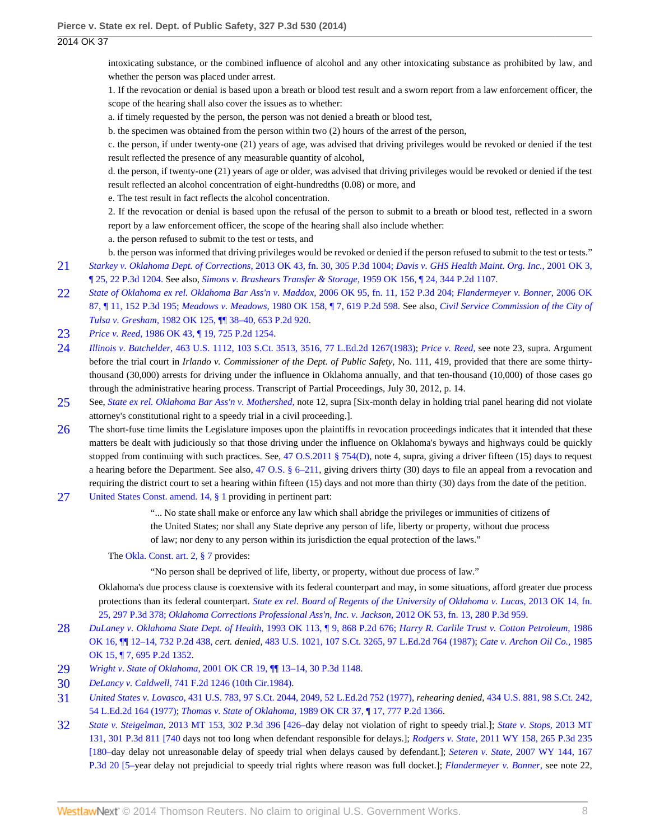intoxicating substance, or the combined influence of alcohol and any other intoxicating substance as prohibited by law, and whether the person was placed under arrest.

1. If the revocation or denial is based upon a breath or blood test result and a sworn report from a law enforcement officer, the scope of the hearing shall also cover the issues as to whether:

a. if timely requested by the person, the person was not denied a breath or blood test,

b. the specimen was obtained from the person within two (2) hours of the arrest of the person,

c. the person, if under twenty-one (21) years of age, was advised that driving privileges would be revoked or denied if the test result reflected the presence of any measurable quantity of alcohol,

d. the person, if twenty-one (21) years of age or older, was advised that driving privileges would be revoked or denied if the test result reflected an alcohol concentration of eight-hundredths (0.08) or more, and

e. The test result in fact reflects the alcohol concentration.

2. If the revocation or denial is based upon the refusal of the person to submit to a breath or blood test, reflected in a sworn report by a law enforcement officer, the scope of the hearing shall also include whether:

a. the person refused to submit to the test or tests, and

b. the person was informed that driving privileges would be revoked or denied if the person refused to submit to the test or tests."

- <span id="page-7-0"></span>[21](#page-4-4) *[Starkey v. Oklahoma Dept. of Corrections,](http://www.westlaw.com/Link/Document/FullText?findType=Y&serNum=2030867465&pubNum=4645&originationContext=document&vr=3.0&rs=cblt1.0&transitionType=DocumentItem&contextData=(sc.Search))* 2013 OK 43, fn. 30, 305 P.3d 1004; *[Davis v. GHS Health Maint. Org. Inc.,](http://www.westlaw.com/Link/Document/FullText?findType=Y&serNum=2001077820&pubNum=4645&originationContext=document&vr=3.0&rs=cblt1.0&transitionType=DocumentItem&contextData=(sc.Search))* 2001 OK 3, [¶ 25, 22 P.3d 1204.](http://www.westlaw.com/Link/Document/FullText?findType=Y&serNum=2001077820&pubNum=4645&originationContext=document&vr=3.0&rs=cblt1.0&transitionType=DocumentItem&contextData=(sc.Search)) See also, *[Simons v. Brashears Transfer & Storage,](http://www.westlaw.com/Link/Document/FullText?findType=Y&serNum=1959123287&pubNum=661&originationContext=document&vr=3.0&rs=cblt1.0&transitionType=DocumentItem&contextData=(sc.Search))* 1959 OK 156, ¶ 24, 344 P.2d 1107.
- <span id="page-7-1"></span>[22](#page-4-5) *[State of Oklahoma ex rel. Oklahoma Bar Ass'n v. Maddox,](http://www.westlaw.com/Link/Document/FullText?findType=Y&serNum=2010939359&pubNum=4645&originationContext=document&vr=3.0&rs=cblt1.0&transitionType=DocumentItem&contextData=(sc.Search))* 2006 OK 95, fn. 11, 152 P.3d 204; *[Flandermeyer v. Bonner,](http://www.westlaw.com/Link/Document/FullText?findType=Y&serNum=2010695423&pubNum=4645&originationContext=document&vr=3.0&rs=cblt1.0&transitionType=DocumentItem&contextData=(sc.Search))* 2006 OK [87, ¶ 11, 152 P.3d 195;](http://www.westlaw.com/Link/Document/FullText?findType=Y&serNum=2010695423&pubNum=4645&originationContext=document&vr=3.0&rs=cblt1.0&transitionType=DocumentItem&contextData=(sc.Search)) *Meadows v. Meadows,* [1980 OK 158, ¶ 7, 619 P.2d 598.](http://www.westlaw.com/Link/Document/FullText?findType=Y&serNum=1980144106&pubNum=661&originationContext=document&vr=3.0&rs=cblt1.0&transitionType=DocumentItem&contextData=(sc.Search)) See also, *[Civil Service Commission of the City of](http://www.westlaw.com/Link/Document/FullText?findType=Y&serNum=1982146901&pubNum=661&originationContext=document&vr=3.0&rs=cblt1.0&transitionType=DocumentItem&contextData=(sc.Search)) Tulsa v. Gresham,* [1982 OK 125, ¶¶ 38–40, 653 P.2d 920.](http://www.westlaw.com/Link/Document/FullText?findType=Y&serNum=1982146901&pubNum=661&originationContext=document&vr=3.0&rs=cblt1.0&transitionType=DocumentItem&contextData=(sc.Search))
- <span id="page-7-2"></span>[23](#page-4-6) *Price v. Reed,* [1986 OK 43, ¶ 19, 725 P.2d 1254.](http://www.westlaw.com/Link/Document/FullText?findType=Y&serNum=1986135885&pubNum=661&originationContext=document&vr=3.0&rs=cblt1.0&transitionType=DocumentItem&contextData=(sc.Search))
- <span id="page-7-3"></span>[24](#page-4-7) *Illinois v. Batchelder,* [463 U.S. 1112, 103 S.Ct. 3513, 3516, 77 L.Ed.2d 1267\(1983\);](http://www.westlaw.com/Link/Document/FullText?findType=Y&serNum=1983131595&pubNum=708&fi=co_pp_sp_708_3516&originationContext=document&vr=3.0&rs=cblt1.0&transitionType=DocumentItem&contextData=(sc.Search)#co_pp_sp_708_3516) *[Price v. Reed,](http://www.westlaw.com/Link/Document/FullText?findType=Y&serNum=1986135885&originationContext=document&vr=3.0&rs=cblt1.0&transitionType=DocumentItem&contextData=(sc.Search))* see note 23, supra. Argument before the trial court in *Irlando v. Commissioner of the Dept. of Public Safety,* No. 111, 419, provided that there are some thirtythousand (30,000) arrests for driving under the influence in Oklahoma annually, and that ten-thousand (10,000) of those cases go through the administrative hearing process. Transcript of Partial Proceedings, July 30, 2012, p. 14.
- <span id="page-7-4"></span>[25](#page-4-8) See, *[State ex rel. Oklahoma Bar Ass'n v. Mothershed,](http://www.westlaw.com/Link/Document/FullText?findType=Y&serNum=2026318773&originationContext=document&vr=3.0&rs=cblt1.0&transitionType=DocumentItem&contextData=(sc.Search))* note 12, supra [Six-month delay in holding trial panel hearing did not violate attorney's constitutional right to a speedy trial in a civil proceeding.].
- <span id="page-7-5"></span>[26](#page-4-9) The short-fuse time limits the Legislature imposes upon the plaintiffs in revocation proceedings indicates that it intended that these matters be dealt with judiciously so that those driving under the influence on Oklahoma's byways and highways could be quickly stopped from continuing with such practices. See, [47 O.S.2011 § 754\(D\)](http://www.westlaw.com/Link/Document/FullText?findType=L&pubNum=1000165&cite=OKSTT47S754&originatingDoc=Ia4a8df28d5ee11e39488c8f438320c70&refType=LQ&originationContext=document&vr=3.0&rs=cblt1.0&transitionType=DocumentItem&contextData=(sc.Search)), note 4, supra, giving a driver fifteen (15) days to request a hearing before the Department. See also, [47 O.S. § 6–211,](http://www.westlaw.com/Link/Document/FullText?findType=L&pubNum=1000165&cite=OKSTT47S6-211&originatingDoc=Ia4a8df28d5ee11e39488c8f438320c70&refType=LQ&originationContext=document&vr=3.0&rs=cblt1.0&transitionType=DocumentItem&contextData=(sc.Search)) giving drivers thirty (30) days to file an appeal from a revocation and requiring the district court to set a hearing within fifteen (15) days and not more than thirty (30) days from the date of the petition.
- <span id="page-7-6"></span>[27](#page-4-10) [United States Const. amend. 14, § 1](http://www.westlaw.com/Link/Document/FullText?findType=L&pubNum=1000546&cite=USCOAMENDXIVS1&originatingDoc=Ia4a8df28d5ee11e39488c8f438320c70&refType=LQ&originationContext=document&vr=3.0&rs=cblt1.0&transitionType=DocumentItem&contextData=(sc.Search)) providing in pertinent part:

"... No state shall make or enforce any law which shall abridge the privileges or immunities of citizens of the United States; nor shall any State deprive any person of life, liberty or property, without due process of law; nor deny to any person within its jurisdiction the equal protection of the laws."

The [Okla. Const. art. 2, § 7](http://www.westlaw.com/Link/Document/FullText?findType=L&pubNum=1000165&cite=OKCNART2S7&originatingDoc=Ia4a8df28d5ee11e39488c8f438320c70&refType=LQ&originationContext=document&vr=3.0&rs=cblt1.0&transitionType=DocumentItem&contextData=(sc.Search)) provides:

"No person shall be deprived of life, liberty, or property, without due process of law."

Oklahoma's due process clause is coextensive with its federal counterpart and may, in some situations, afford greater due process protections than its federal counterpart. *[State ex rel. Board of Regents of the University of Oklahoma v. Lucas,](http://www.westlaw.com/Link/Document/FullText?findType=Y&serNum=2029985850&pubNum=4645&originationContext=document&vr=3.0&rs=cblt1.0&transitionType=DocumentItem&contextData=(sc.Search))* 2013 OK 14, fn. [25, 297 P.3d 378;](http://www.westlaw.com/Link/Document/FullText?findType=Y&serNum=2029985850&pubNum=4645&originationContext=document&vr=3.0&rs=cblt1.0&transitionType=DocumentItem&contextData=(sc.Search)) *[Oklahoma Corrections Professional Ass'n, Inc. v. Jackson,](http://www.westlaw.com/Link/Document/FullText?findType=Y&serNum=2027887867&pubNum=4645&originationContext=document&vr=3.0&rs=cblt1.0&transitionType=DocumentItem&contextData=(sc.Search))* 2012 OK 53, fn. 13, 280 P.3d 959.

- <span id="page-7-7"></span>[28](#page-4-11) *[DuLaney v. Oklahoma State Dept. of Health](http://www.westlaw.com/Link/Document/FullText?findType=Y&serNum=1993180915&pubNum=661&originationContext=document&vr=3.0&rs=cblt1.0&transitionType=DocumentItem&contextData=(sc.Search))*, 1993 OK 113, ¶ 9, 868 P.2d 676; *[Harry R. Carlile Trust v. Cotton Petroleum,](http://www.westlaw.com/Link/Document/FullText?findType=Y&serNum=1986122564&pubNum=661&originationContext=document&vr=3.0&rs=cblt1.0&transitionType=DocumentItem&contextData=(sc.Search))* 1986 [OK 16, ¶¶ 12–14, 732 P.2d 438,](http://www.westlaw.com/Link/Document/FullText?findType=Y&serNum=1986122564&pubNum=661&originationContext=document&vr=3.0&rs=cblt1.0&transitionType=DocumentItem&contextData=(sc.Search)) *cert. denied,* [483 U.S. 1021, 107 S.Ct. 3265, 97 L.Ed.2d 764 \(1987\)](http://www.westlaw.com/Link/Document/FullText?findType=Y&serNum=1987086357&pubNum=708&originationContext=document&vr=3.0&rs=cblt1.0&transitionType=DocumentItem&contextData=(sc.Search)); *[Cate v. Archon Oil Co.,](http://www.westlaw.com/Link/Document/FullText?findType=Y&serNum=1985109651&pubNum=661&originationContext=document&vr=3.0&rs=cblt1.0&transitionType=DocumentItem&contextData=(sc.Search))* 1985 [OK 15, ¶ 7, 695 P.2d 1352](http://www.westlaw.com/Link/Document/FullText?findType=Y&serNum=1985109651&pubNum=661&originationContext=document&vr=3.0&rs=cblt1.0&transitionType=DocumentItem&contextData=(sc.Search)).
- <span id="page-7-8"></span>[29](#page-4-12) *Wright v. State of Oklahoma,* [2001 OK CR 19, ¶¶ 13–14, 30 P.3d 1148.](http://www.westlaw.com/Link/Document/FullText?findType=Y&serNum=2001552497&pubNum=4645&originationContext=document&vr=3.0&rs=cblt1.0&transitionType=DocumentItem&contextData=(sc.Search))
- <span id="page-7-9"></span>[30](#page-4-13) *DeLancy v. Caldwell,* [741 F.2d 1246 \(10th Cir.1984\).](http://www.westlaw.com/Link/Document/FullText?findType=Y&serNum=1984141097&pubNum=350&originationContext=document&vr=3.0&rs=cblt1.0&transitionType=DocumentItem&contextData=(sc.Search))
- <span id="page-7-10"></span>[31](#page-4-14) *United States v. Lovasco,* [431 U.S. 783, 97 S.Ct. 2044, 2049, 52 L.Ed.2d 752 \(1977\)](http://www.westlaw.com/Link/Document/FullText?findType=Y&serNum=1977118799&pubNum=708&fi=co_pp_sp_708_2049&originationContext=document&vr=3.0&rs=cblt1.0&transitionType=DocumentItem&contextData=(sc.Search)#co_pp_sp_708_2049), *rehearing denied,* [434 U.S. 881, 98 S.Ct. 242,](http://www.westlaw.com/Link/Document/FullText?findType=Y&serNum=1977223012&pubNum=708&originationContext=document&vr=3.0&rs=cblt1.0&transitionType=DocumentItem&contextData=(sc.Search)) [54 L.Ed.2d 164 \(1977\)](http://www.westlaw.com/Link/Document/FullText?findType=Y&serNum=1977223012&pubNum=708&originationContext=document&vr=3.0&rs=cblt1.0&transitionType=DocumentItem&contextData=(sc.Search)); *Thomas v. State of Oklahoma,* [1989 OK CR 37, ¶ 17, 777 P.2d 1366](http://www.westlaw.com/Link/Document/FullText?findType=Y&serNum=1989114251&pubNum=661&originationContext=document&vr=3.0&rs=cblt1.0&transitionType=DocumentItem&contextData=(sc.Search)).
- <span id="page-7-11"></span>[32](#page-4-15) *State v. Steigelman,* [2013 MT 153, 302 P.3d 396 \[426–](http://www.westlaw.com/Link/Document/FullText?findType=Y&serNum=2030680414&pubNum=4645&fi=co_pp_sp_4645_426&originationContext=document&vr=3.0&rs=cblt1.0&transitionType=DocumentItem&contextData=(sc.Search)#co_pp_sp_4645_426)day delay not violation of right to speedy trial.]; *[State v. Stops,](http://www.westlaw.com/Link/Document/FullText?findType=Y&serNum=2030531708&pubNum=4645&originationContext=document&vr=3.0&rs=cblt1.0&transitionType=DocumentItem&contextData=(sc.Search))* 2013 MT [131, 301 P.3d 811 \[740](http://www.westlaw.com/Link/Document/FullText?findType=Y&serNum=2030531708&pubNum=4645&originationContext=document&vr=3.0&rs=cblt1.0&transitionType=DocumentItem&contextData=(sc.Search)) days not too long when defendant responsible for delays.]; *Rodgers v. State,* [2011 WY 158, 265 P.3d 235](http://www.westlaw.com/Link/Document/FullText?findType=Y&serNum=2026533278&pubNum=4645&originationContext=document&vr=3.0&rs=cblt1.0&transitionType=DocumentItem&contextData=(sc.Search)) [\[180–d](http://www.westlaw.com/Link/Document/FullText?findType=Y&serNum=2026533278&pubNum=4645&originationContext=document&vr=3.0&rs=cblt1.0&transitionType=DocumentItem&contextData=(sc.Search))ay delay not unreasonable delay of speedy trial when delays caused by defendant.]; *Seteren v. State,* [2007 WY 144, 167](http://www.westlaw.com/Link/Document/FullText?findType=Y&serNum=2013189450&pubNum=4645&originationContext=document&vr=3.0&rs=cblt1.0&transitionType=DocumentItem&contextData=(sc.Search)) [P.3d 20 \[5–y](http://www.westlaw.com/Link/Document/FullText?findType=Y&serNum=2013189450&pubNum=4645&originationContext=document&vr=3.0&rs=cblt1.0&transitionType=DocumentItem&contextData=(sc.Search))ear delay not prejudicial to speedy trial rights where reason was full docket.]; *[Flandermeyer v. Bonner,](http://www.westlaw.com/Link/Document/FullText?findType=Y&serNum=2010695423&originationContext=document&vr=3.0&rs=cblt1.0&transitionType=DocumentItem&contextData=(sc.Search))* see note 22,